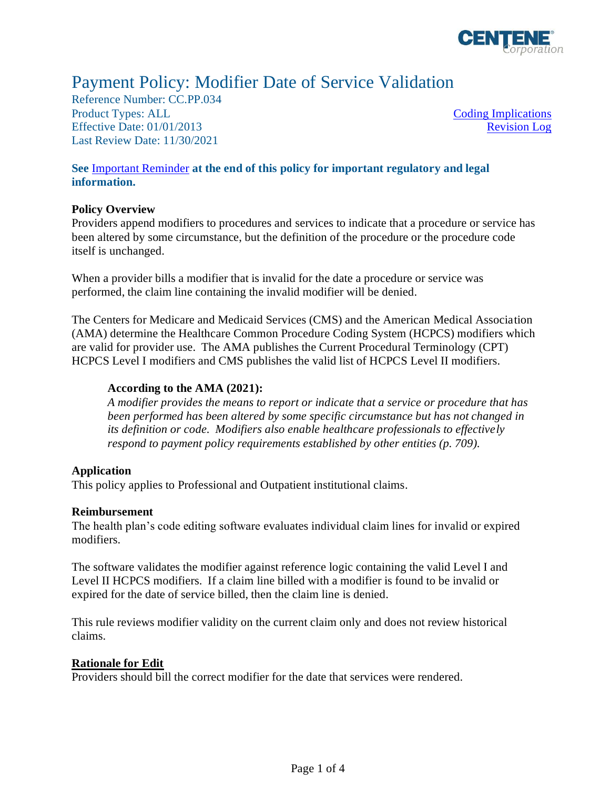

# Payment Policy: Modifier Date of Service Validation

Reference Number: CC.PP.034 Product Types: ALL [Coding Implications](#page-1-0) Effective Date: 01/01/2013 Last Review Date: 11/30/2021

[Revision Log](#page-1-1)

# **See** [Important Reminder](#page-2-0) **at the end of this policy for important regulatory and legal information.**

## **Policy Overview**

Providers append modifiers to procedures and services to indicate that a procedure or service has been altered by some circumstance, but the definition of the procedure or the procedure code itself is unchanged.

When a provider bills a modifier that is invalid for the date a procedure or service was performed, the claim line containing the invalid modifier will be denied.

The Centers for Medicare and Medicaid Services (CMS) and the American Medical Association (AMA) determine the Healthcare Common Procedure Coding System (HCPCS) modifiers which are valid for provider use. The AMA publishes the Current Procedural Terminology (CPT) HCPCS Level I modifiers and CMS publishes the valid list of HCPCS Level II modifiers.

## **According to the AMA (2021):**

*A modifier provides the means to report or indicate that a service or procedure that has been performed has been altered by some specific circumstance but has not changed in its definition or code. Modifiers also enable healthcare professionals to effectively respond to payment policy requirements established by other entities (p. 709).*

## **Application**

This policy applies to Professional and Outpatient institutional claims.

#### **Reimbursement**

The health plan's code editing software evaluates individual claim lines for invalid or expired modifiers.

The software validates the modifier against reference logic containing the valid Level I and Level II HCPCS modifiers. If a claim line billed with a modifier is found to be invalid or expired for the date of service billed, then the claim line is denied.

This rule reviews modifier validity on the current claim only and does not review historical claims.

#### **Rationale for Edit**

Providers should bill the correct modifier for the date that services were rendered.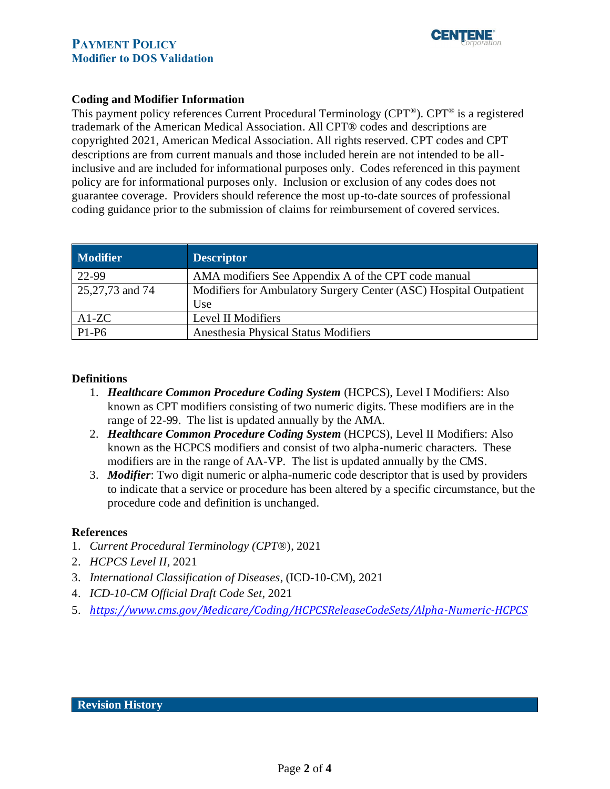

# **PAYMENT POLICY Modifier to DOS Validation**

## <span id="page-1-0"></span>**Coding and Modifier Information**

This payment policy references Current Procedural Terminology (CPT®). CPT® is a registered trademark of the American Medical Association. All CPT® codes and descriptions are copyrighted 2021, American Medical Association. All rights reserved. CPT codes and CPT descriptions are from current manuals and those included herein are not intended to be allinclusive and are included for informational purposes only. Codes referenced in this payment policy are for informational purposes only. Inclusion or exclusion of any codes does not guarantee coverage. Providers should reference the most up-to-date sources of professional coding guidance prior to the submission of claims for reimbursement of covered services.

| <b>Modifier</b> | <b>Descriptor</b>                                                 |
|-----------------|-------------------------------------------------------------------|
| 22-99           | AMA modifiers See Appendix A of the CPT code manual               |
| 25,27,73 and 74 | Modifiers for Ambulatory Surgery Center (ASC) Hospital Outpatient |
|                 | Use                                                               |
| $A1-ZC$         | Level II Modifiers                                                |
| $P1-P6$         | Anesthesia Physical Status Modifiers                              |

## **Definitions**

- 1. *Healthcare Common Procedure Coding System* (HCPCS), Level I Modifiers: Also known as CPT modifiers consisting of two numeric digits. These modifiers are in the range of 22-99. The list is updated annually by the AMA.
- 2. *Healthcare Common Procedure Coding System* (HCPCS), Level II Modifiers: Also known as the HCPCS modifiers and consist of two alpha-numeric characters. These modifiers are in the range of AA-VP. The list is updated annually by the CMS.
- 3. *Modifier*: Two digit numeric or alpha-numeric code descriptor that is used by providers to indicate that a service or procedure has been altered by a specific circumstance, but the procedure code and definition is unchanged.

#### **References**

- 1. *Current Procedural Terminology (CPT*®), 2021
- 2. *HCPCS Level II*, 2021
- 3. *International Classification of Diseases*, (ICD-10-CM), 2021
- 4. *ICD-10-CM Official Draft Code Set*, 2021
- <span id="page-1-1"></span>5. *<https://www.cms.gov/Medicare/Coding/HCPCSReleaseCodeSets/Alpha-Numeric-HCPCS>*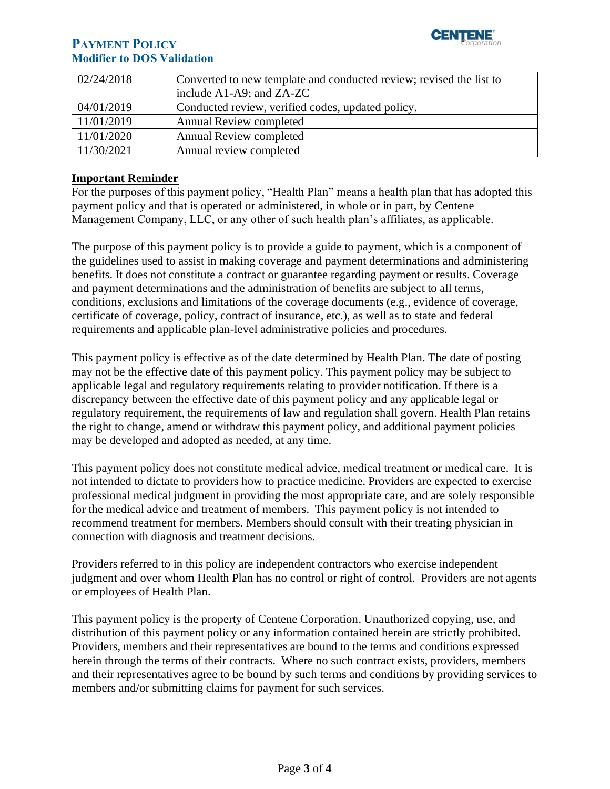

# **PAYMENT POLICY Modifier to DOS Validation**

| 02/24/2018 | Converted to new template and conducted review; revised the list to |
|------------|---------------------------------------------------------------------|
|            | include $A1-A9$ ; and $ZA-ZC$                                       |
| 04/01/2019 | Conducted review, verified codes, updated policy.                   |
| 11/01/2019 | <b>Annual Review completed</b>                                      |
| 11/01/2020 | <b>Annual Review completed</b>                                      |
| 11/30/2021 | Annual review completed                                             |

## <span id="page-2-0"></span>**Important Reminder**

For the purposes of this payment policy, "Health Plan" means a health plan that has adopted this payment policy and that is operated or administered, in whole or in part, by Centene Management Company, LLC, or any other of such health plan's affiliates, as applicable.

The purpose of this payment policy is to provide a guide to payment, which is a component of the guidelines used to assist in making coverage and payment determinations and administering benefits. It does not constitute a contract or guarantee regarding payment or results. Coverage and payment determinations and the administration of benefits are subject to all terms, conditions, exclusions and limitations of the coverage documents (e.g., evidence of coverage, certificate of coverage, policy, contract of insurance, etc.), as well as to state and federal requirements and applicable plan-level administrative policies and procedures.

This payment policy is effective as of the date determined by Health Plan. The date of posting may not be the effective date of this payment policy. This payment policy may be subject to applicable legal and regulatory requirements relating to provider notification. If there is a discrepancy between the effective date of this payment policy and any applicable legal or regulatory requirement, the requirements of law and regulation shall govern. Health Plan retains the right to change, amend or withdraw this payment policy, and additional payment policies may be developed and adopted as needed, at any time.

This payment policy does not constitute medical advice, medical treatment or medical care. It is not intended to dictate to providers how to practice medicine. Providers are expected to exercise professional medical judgment in providing the most appropriate care, and are solely responsible for the medical advice and treatment of members. This payment policy is not intended to recommend treatment for members. Members should consult with their treating physician in connection with diagnosis and treatment decisions.

Providers referred to in this policy are independent contractors who exercise independent judgment and over whom Health Plan has no control or right of control. Providers are not agents or employees of Health Plan.

This payment policy is the property of Centene Corporation. Unauthorized copying, use, and distribution of this payment policy or any information contained herein are strictly prohibited. Providers, members and their representatives are bound to the terms and conditions expressed herein through the terms of their contracts. Where no such contract exists, providers, members and their representatives agree to be bound by such terms and conditions by providing services to members and/or submitting claims for payment for such services.